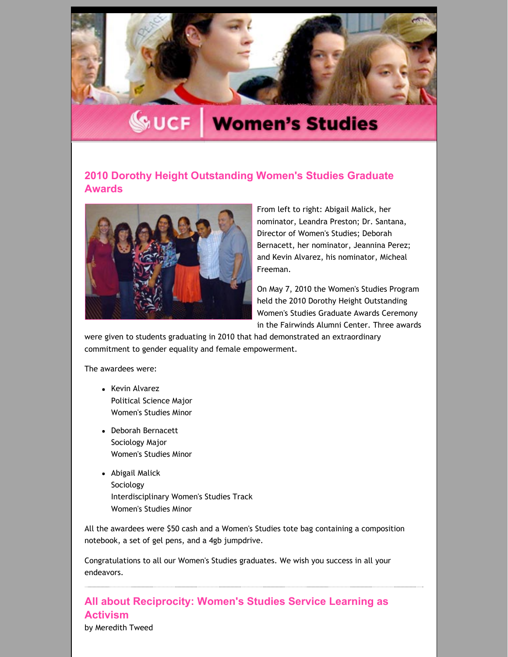

# **WUCF Women's Studies**

## **2010 Dorothy Height [Outstanding](http://womensstudies.cah.ucf.edu/blast/issue2.html) Women's Studies Graduate Awards**



From left to right: Abigail Malick, her nominator, Leandra Preston; Dr. Santana, Director of Women's Studies; Deborah Bernacett, her nominator, Jeannina Perez; and Kevin Alvarez, his nominator, Micheal Freeman.

On May 7, 2010 the Women's Studies Program held the 2010 Dorothy Height Outstanding Women's Studies Graduate Awards Ceremony in the Fairwinds Alumni Center. Three awards

were given to students graduating in 2010 that had demonstrated an extraordinary commitment to gender equality and female empowerment.

The awardees were:

- Kevin Alvarez Political Science Major Women's Studies Minor
- Deborah Bernacett Sociology Major Women's Studies Minor
- Abigail Malick Sociology Interdisciplinary Women's Studies Track Women's Studies Minor

All the awardees were \$50 cash and a Women's Studies tote bag containing a composition notebook, a set of gel pens, and a 4gb jumpdrive.

Congratulations to all our Women's Studies graduates. We wish you success in all your endeavors.

**All about [Reciprocity:](http://womensstudies.cah.ucf.edu/blast/issue2.html) Women's Studies Service Learning as Activism** by Meredith Tweed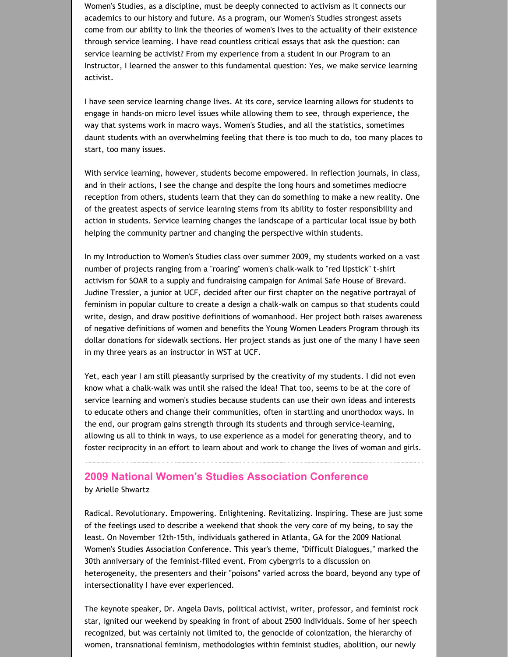Women's Studies, as a discipline, must be deeply connected to activism as it connects our academics to our history and future. As a program, our Women's Studies strongest assets come from our ability to link the theories of women's lives to the actuality of their existence through service learning. I have read countless critical essays that ask the question: can service learning be activist? From my experience from a student in our Program to an Instructor, I learned the answer to this fundamental question: Yes, we make service learning activist.

I have seen service learning change lives. At its core, service learning allows for students to engage in hands‐on micro level issues while allowing them to see, through experience, the way that systems work in macro ways. Women's Studies, and all the statistics, sometimes daunt students with an overwhelming feeling that there is too much to do, too many places to start, too many issues.

With service learning, however, students become empowered. In reflection journals, in class, and in their actions, I see the change and despite the long hours and sometimes mediocre reception from others, students learn that they can do something to make a new reality. One of the greatest aspects of service learning stems from its ability to foster responsibility and action in students. Service learning changes the landscape of a particular local issue by both helping the community partner and changing the perspective within students.

In my Introduction to Women's Studies class over summer 2009, my students worked on a vast number of projects ranging from a "roaring" women's chalk‐walk to "red lipstick" t‐shirt activism for SOAR to a supply and fundraising campaign for Animal Safe House of Brevard. Judine Tressler, a junior at UCF, decided after our first chapter on the negative portrayal of feminism in popular culture to create a design a chalk‐walk on campus so that students could write, design, and draw positive definitions of womanhood. Her project both raises awareness of negative definitions of women and benefits the Young Women Leaders Program through its dollar donations for sidewalk sections. Her project stands as just one of the many I have seen in my three years as an instructor in WST at UCF.

Yet, each year I am still pleasantly surprised by the creativity of my students. I did not even know what a chalk‐walk was until she raised the idea! That too, seems to be at the core of service learning and women's studies because students can use their own ideas and interests to educate others and change their communities, often in startling and unorthodox ways. In the end, our program gains strength through its students and through service‐learning, allowing us all to think in ways, to use experience as a model for generating theory, and to foster reciprocity in an effort to learn about and work to change the lives of woman and girls.

## **2009 National Women's Studies [Association](http://womensstudies.cah.ucf.edu/blast/issue2.html) Conference** by Arielle Shwartz

Radical. Revolutionary. Empowering. Enlightening. Revitalizing. Inspiring. These are just some of the feelings used to describe a weekend that shook the very core of my being, to say the least. On November 12th‐15th, individuals gathered in Atlanta, GA for the 2009 National Women's Studies Association Conference. This year's theme, "Difficult Dialogues," marked the 30th anniversary of the feminist-filled event. From cybergrrls to a discussion on heterogeneity, the presenters and their "poisons" varied across the board, beyond any type of intersectionality I have ever experienced.

The keynote speaker, Dr. Angela Davis, political activist, writer, professor, and feminist rock star, ignited our weekend by speaking in front of about 2500 individuals. Some of her speech recognized, but was certainly not limited to, the genocide of colonization, the hierarchy of women, transnational feminism, methodologies within feminist studies, abolition, our newly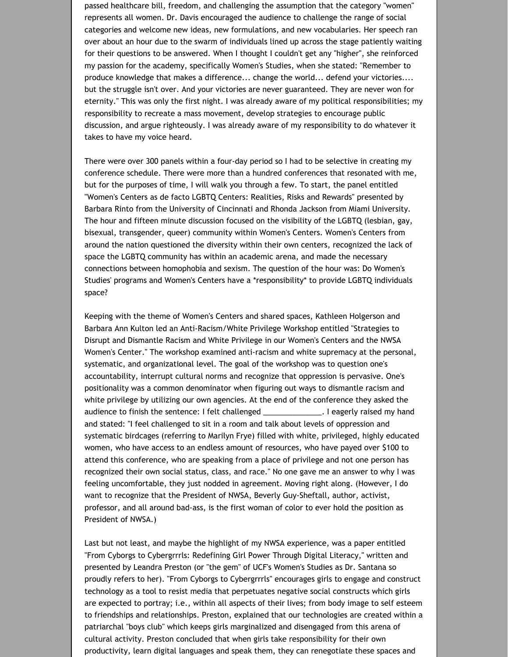passed healthcare bill, freedom, and challenging the assumption that the category "women" represents all women. Dr. Davis encouraged the audience to challenge the range of social categories and welcome new ideas, new formulations, and new vocabularies. Her speech ran over about an hour due to the swarm of individuals lined up across the stage patiently waiting for their questions to be answered. When I thought I couldn't get any "higher", she reinforced my passion for the academy, specifically Women's Studies, when she stated: "Remember to produce knowledge that makes a difference... change the world... defend your victories.... but the struggle isn't over. And your victories are never guaranteed. They are never won for eternity." This was only the first night. I was already aware of my political responsibilities; my responsibility to recreate a mass movement, develop strategies to encourage public discussion, and argue righteously. I was already aware of my responsibility to do whatever it takes to have my voice heard.

There were over 300 panels within a four‐day period so I had to be selective in creating my conference schedule. There were more than a hundred conferences that resonated with me, but for the purposes of time, I will walk you through a few. To start, the panel entitled "Women's Centers as de facto LGBTQ Centers: Realities, Risks and Rewards" presented by Barbara Rinto from the University of Cincinnati and Rhonda Jackson from Miami University. The hour and fifteen minute discussion focused on the visibility of the LGBTQ (lesbian, gay, bisexual, transgender, queer) community within Women's Centers. Women's Centers from around the nation questioned the diversity within their own centers, recognized the lack of space the LGBTQ community has within an academic arena, and made the necessary connections between homophobia and sexism. The question of the hour was: Do Women's Studies' programs and Women's Centers have a \*responsibility\* to provide LGBTQ individuals space?

Keeping with the theme of Women's Centers and shared spaces, Kathleen Holgerson and Barbara Ann Kulton led an Anti‐Racism/White Privilege Workshop entitled "Strategies to Disrupt and Dismantle Racism and White Privilege in our Women's Centers and the NWSA Women's Center." The workshop examined anti‐racism and white supremacy at the personal, systematic, and organizational level. The goal of the workshop was to question one's accountability, interrupt cultural norms and recognize that oppression is pervasive. One's positionality was a common denominator when figuring out ways to dismantle racism and white privilege by utilizing our own agencies. At the end of the conference they asked the audience to finish the sentence: I felt challenged \_\_\_\_\_\_\_\_\_\_\_\_\_\_. I eagerly raised my hand and stated: "I feel challenged to sit in a room and talk about levels of oppression and systematic birdcages (referring to Marilyn Frye) filled with white, privileged, highly educated women, who have access to an endless amount of resources, who have payed over \$100 to attend this conference, who are speaking from a place of privilege and not one person has recognized their own social status, class, and race." No one gave me an answer to why I was feeling uncomfortable, they just nodded in agreement. Moving right along. (However, I do want to recognize that the President of NWSA, Beverly Guy‐Sheftall, author, activist, professor, and all around bad‐ass, is the first woman of color to ever hold the position as President of NWSA.)

Last but not least, and maybe the highlight of my NWSA experience, was a paper entitled "From Cyborgs to Cybergrrrls: Redefining Girl Power Through Digital Literacy," written and presented by Leandra Preston (or "the gem" of UCF's Women's Studies as Dr. Santana so proudly refers to her). "From Cyborgs to Cybergrrrls" encourages girls to engage and construct technology as a tool to resist media that perpetuates negative social constructs which girls are expected to portray; i.e., within all aspects of their lives; from body image to self esteem to friendships and relationships. Preston, explained that our technologies are created within a patriarchal "boys club" which keeps girls marginalized and disengaged from this arena of cultural activity. Preston concluded that when girls take responsibility for their own productivity, learn digital languages and speak them, they can renegotiate these spaces and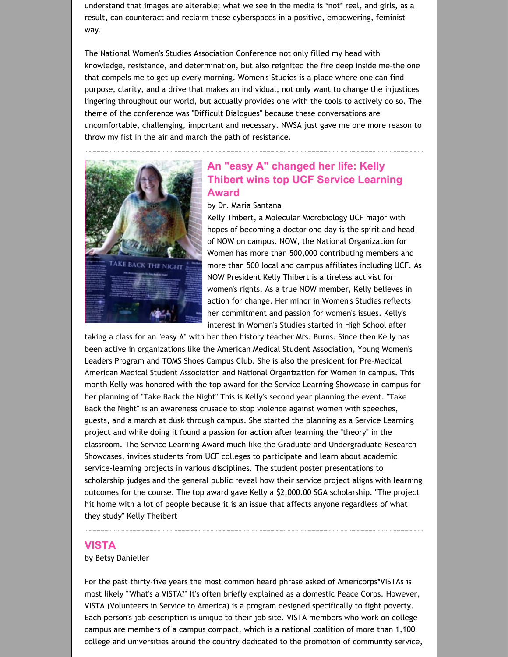understand that images are alterable; what we see in the media is \*not\* real, and girls, as a result, can counteract and reclaim these cyberspaces in a positive, empowering, feminist way.

The National Women's Studies Association Conference not only filled my head with knowledge, resistance, and determination, but also reignited the fire deep inside me‐the one that compels me to get up every morning. Women's Studies is a place where one can find purpose, clarity, and a drive that makes an individual, not only want to change the injustices lingering throughout our world, but actually provides one with the tools to actively do so. The theme of the conference was "Difficult Dialogues" because these conversations are uncomfortable, challenging, important and necessary. NWSA just gave me one more reason to throw my fist in the air and march the path of resistance.



## **An "easy A" changed her life: Kelly Thibert wins top UCF Service [Learning](http://womensstudies.cah.ucf.edu/blast/issue2.html) Award**

#### by Dr. Maria Santana

Kelly Thibert, a Molecular Microbiology UCF major with hopes of becoming a doctor one day is the spirit and head of NOW on campus. NOW, the National Organization for Women has more than 500,000 contributing members and more than 500 local and campus affiliates including UCF. As NOW President Kelly Thibert is a tireless activist for women's rights. As a true NOW member, Kelly believes in action for change. Her minor in Women's Studies reflects her commitment and passion for women's issues. Kelly's interest in Women's Studies started in High School after

taking a class for an "easy A" with her then history teacher Mrs. Burns. Since then Kelly has been active in organizations like the American Medical Student Association, Young Women's Leaders Program and TOMS Shoes Campus Club. She is also the president for Pre‐Medical American Medical Student Association and National Organization for Women in campus. This month Kelly was honored with the top award for the Service Learning Showcase in campus for her planning of "Take Back the Night" This is Kelly's second year planning the event. "Take Back the Night" is an awareness crusade to stop violence against women with speeches, guests, and a march at dusk through campus. She started the planning as a Service Learning project and while doing it found a passion for action after learning the "theory" in the classroom. The Service Learning Award much like the Graduate and Undergraduate Research Showcases, invites students from UCF colleges to participate and learn about academic service-learning projects in various disciplines. The student poster presentations to scholarship judges and the general public reveal how their service project aligns with learning outcomes for the course. The top award gave Kelly a \$2,000.00 SGA scholarship. "The project hit home with a lot of people because it is an issue that affects anyone regardless of what they study" Kelly Theibert

#### **[VISTA](http://womensstudies.cah.ucf.edu/highlights.php?id=514)**

#### by Betsy Danieller

For the past thirty-five years the most common heard phrase asked of Americorps\*VISTAs is most likely "'What's a VISTA?" It's often briefly explained as a domestic Peace Corps. However, VISTA (Volunteers in Service to America) is a program designed specifically to fight poverty. Each person's job description is unique to their job site. VISTA members who work on college campus are members of a campus compact, which is a national coalition of more than 1,100 college and universities around the country dedicated to the promotion of community service,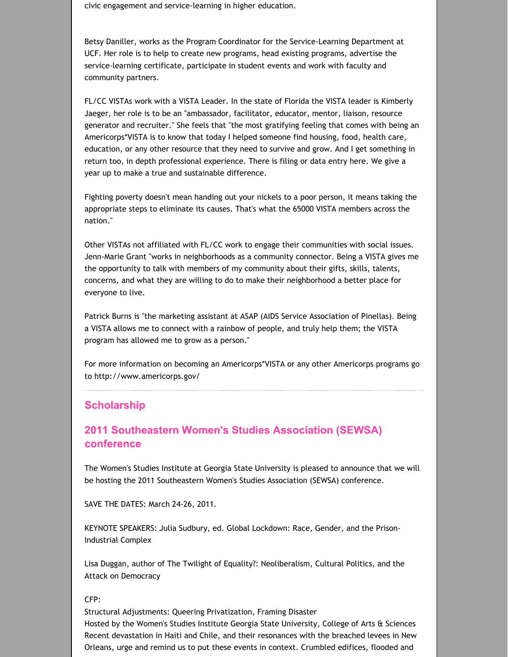civic engagement and service‐learning in higher education.

Betsy Daniller, works as the Program Coordinator for the Service‐Learning Department at UCF. Her role is to help to create new programs, head existing programs, advertise the service‐learning certificate, participate in student events and work with faculty and community partners.

FL/CC VISTAs work with a VISTA Leader. In the state of Florida the VISTA leader is Kimberly Jaeger, her role is to be an "ambassador, facilitator, educator, mentor, liaison, resource generator and recruiter." She feels that "the most gratifying feeling that comes with being an Americorps\*VISTA is to know that today I helped someone find housing, food, health care, education, or any other resource that they need to survive and grow. And I get something in return too, in depth professional experience. There is filing or data entry here. We give a year up to make a true and sustainable difference.

Fighting poverty doesn't mean handing out your nickels to a poor person, it means taking the appropriate steps to eliminate its causes. That's what the 65000 VISTA members across the nation."

Other VISTAs not affiliated with FL/CC work to engage their communities with social issues. Jenn‐Marie Grant "works in neighborhoods as a community connector. Being a VISTA gives me the opportunity to talk with members of my community about their gifts, skills, talents, concerns, and what they are willing to do to make their neighborhood a better place for everyone to live.

Patrick Burns is "the marketing assistant at ASAP (AIDS Service Association of Pinellas). Being a VISTA allows me to connect with a rainbow of people, and truly help them; the VISTA program has allowed me to grow as a person."

For more information on becoming an Americorps\*VISTA or any other Americorps programs go to http://www.americorps.gov/

## **[Scholarship](http://womensstudies.cah.ucf.edu/highlights.php?id=514)**

# **2011 [Southeastern](http://womensstudies.cah.ucf.edu/highlights.php?id=514) Women's Studies Association (SEWSA) conference**

The Women's Studies Institute at Georgia State University is pleased to announce that we will be hosting the 2011 Southeastern Women's Studies Association (SEWSA) conference.

SAVE THE DATES: March 24‐26, 2011.

KEYNOTE SPEAKERS: Julia Sudbury, ed. Global Lockdown: Race, Gender, and the Prison‐ Industrial Complex

Lisa Duggan, author of The Twilight of Equality?: Neoliberalism, Cultural Politics, and the Attack on Democracy

CFP:

Structural Adjustments: Queering Privatization, Framing Disaster Hosted by the Women's Studies Institute Georgia State University, College of Arts & Sciences Recent devastation in Haiti and Chile, and their resonances with the breached levees in New Orleans, urge and remind us to put these events in context. Crumbled edifices, flooded and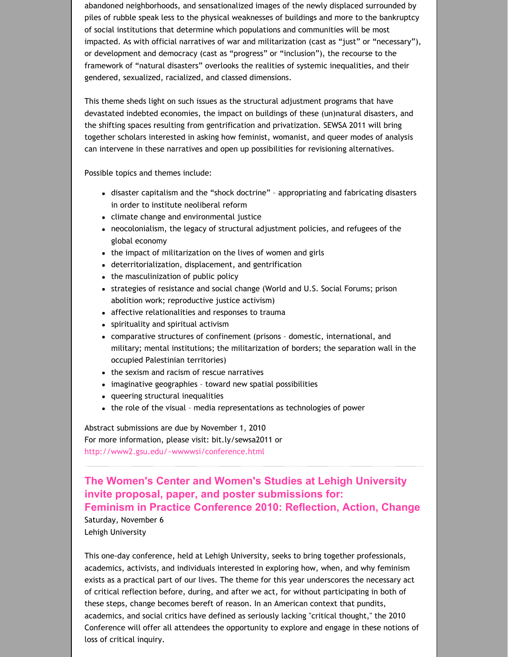abandoned neighborhoods, and sensationalized images of the newly displaced surrounded by piles of rubble speak less to the physical weaknesses of buildings and more to the bankruptcy of social institutions that determine which populations and communities will be most impacted. As with official narratives of war and militarization (cast as "just" or "necessary"), or development and democracy (cast as "progress" or "inclusion"), the recourse to the framework of "natural disasters" overlooks the realities of systemic inequalities, and their gendered, sexualized, racialized, and classed dimensions.

This theme sheds light on such issues as the structural adjustment programs that have devastated indebted economies, the impact on buildings of these (un)natural disasters, and the shifting spaces resulting from gentrification and privatization. SEWSA 2011 will bring together scholars interested in asking how feminist, womanist, and queer modes of analysis can intervene in these narratives and open up possibilities for revisioning alternatives.

Possible topics and themes include:

- disaster capitalism and the "shock doctrine" appropriating and fabricating disasters in order to institute neoliberal reform
- climate change and environmental justice
- neocolonialism, the legacy of structural adjustment policies, and refugees of the global economy
- the impact of militarization on the lives of women and girls
- deterritorialization, displacement, and gentrification
- the masculinization of public policy
- strategies of resistance and social change (World and U.S. Social Forums; prison abolition work; reproductive justice activism)
- affective relationalities and responses to trauma
- spirituality and spiritual activism
- comparative structures of confinement (prisons domestic, international, and military; mental institutions; the militarization of borders; the separation wall in the occupied Palestinian territories)
- the sexism and racism of rescue narratives
- imaginative geographies toward new spatial possibilities
- queering structural inequalities
- the role of the visual media representations as technologies of power

Abstract submissions are due by November 1, 2010 For more information, please visit: bit.ly/sewsa2011 or <http://www2.gsu.edu/~wwwwsi/conference.html>

**The Women's Center and Women's Studies at Lehigh University invite proposal, paper, and poster [submissions](http://womensstudies.cah.ucf.edu/highlights.php?id=514) for: Feminism in Practice Conference 2010: Reflection, Action, Change**

Saturday, November 6 Lehigh University

This one‐day conference, held at Lehigh University, seeks to bring together professionals, academics, activists, and individuals interested in exploring how, when, and why feminism exists as a practical part of our lives. The theme for this year underscores the necessary act of critical reflection before, during, and after we act, for without participating in both of these steps, change becomes bereft of reason. In an American context that pundits, academics, and social critics have defined as seriously lacking "critical thought," the 2010 Conference will offer all attendees the opportunity to explore and engage in these notions of loss of critical inquiry.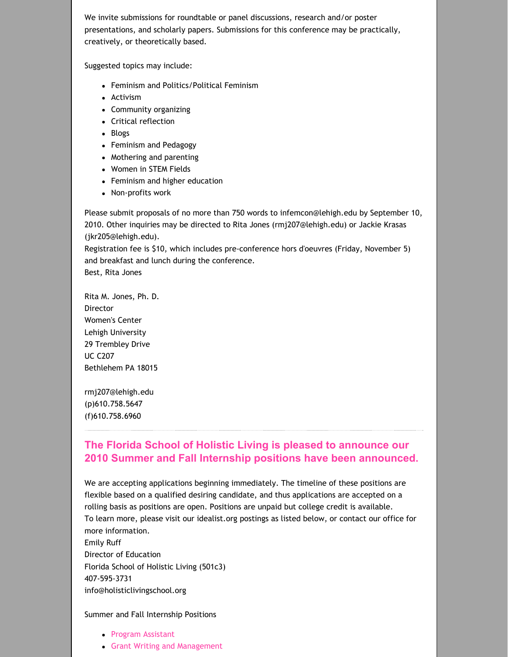We invite submissions for roundtable or panel discussions, research and/or poster presentations, and scholarly papers. Submissions for this conference may be practically, creatively, or theoretically based.

Suggested topics may include:

- Feminism and Politics/Political Feminism
- Activism
- Community organizing
- Critical reflection
- Blogs
- Feminism and Pedagogy
- Mothering and parenting
- Women in STEM Fields
- Feminism and higher education
- Non-profits work

Please submit proposals of no more than 750 words to infemcon@lehigh.edu by September 10, 2010. Other inquiries may be directed to Rita Jones (rmj207@lehigh.edu) or Jackie Krasas (jkr205@lehigh.edu).

Registration fee is \$10, which includes pre‐conference hors d'oeuvres (Friday, November 5) and breakfast and lunch during the conference.

Best, Rita Jones

Rita M. Jones, Ph. D. **Director** Women's Center Lehigh University 29 Trembley Drive UC C207 Bethlehem PA 18015

rmj207@lehigh.edu (p)610.758.5647 (f)610.758.6960

## **The Florida School of Holistic Living is pleased to announce our 2010 Summer and Fall Internship positions have been [announced.](http://womensstudies.cah.ucf.edu/highlights.php?id=514)**

We are accepting applications beginning immediately. The timeline of these positions are flexible based on a qualified desiring candidate, and thus applications are accepted on a rolling basis as positions are open. Positions are unpaid but college credit is available. To learn more, please visit our idealist.org postings as listed below, or contact our office for more information. Emily Ruff

Director of Education Florida School of Holistic Living (501c3) 407‐595‐3731 info@holisticlivingschool.org

#### Summer and Fall Internship Positions

- Program [Assistant](http://www.idealist.org/if/i/en/av/Internship/146378-312/c)
- Grant Writing and [Management](http://www.idealist.org/if/i/en/av/Internship/146389-315/c)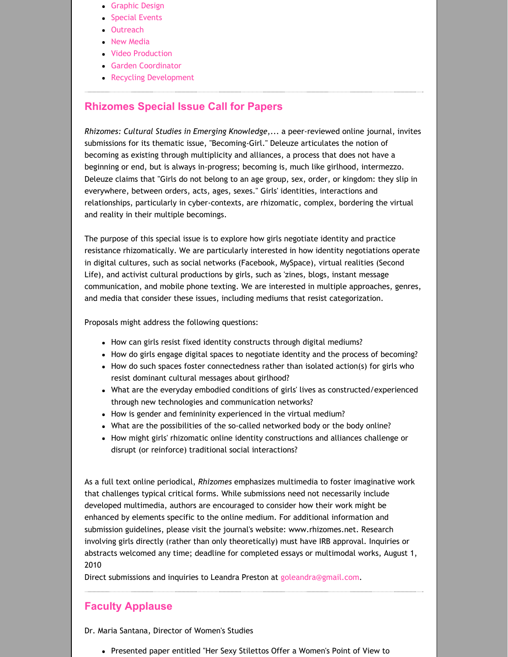- [Graphic](http://www.idealist.org/if/i/en/av/Internship/146388-282/c) Design
- **[Special](http://www.idealist.org/if/i/en/av/Internship/146387-249/c) Events**
- [Outreach](http://www.idealist.org/if/i/en/av/Internship/146386-215/c)
- New [Media](http://www.idealist.org/if/i/en/av/Internship/146384-149/c)
- Video [Production](http://www.idealist.org/if/i/en/av/Internship/146381-49/c)
- **Garden [Coordinator](http://www.idealist.org/if/i/en/av/Internship/146382-82/c)**
- **Recycling [Development](http://www.idealist.org/if/i/en/av/Internship/146379-12/c)**

## **[Rhizomes](http://womensstudies.cah.ucf.edu/highlights.php?id=514) Special Issue Call for Papers**

*Rhizomes: Cultural Studies in Emerging Knowledge*,... a peer‐reviewed online journal, invites submissions for its thematic issue, "Becoming‐Girl." Deleuze articulates the notion of becoming as existing through multiplicity and alliances, a process that does not have a beginning or end, but is always in‐progress; becoming is, much like girlhood, intermezzo. Deleuze claims that "Girls do not belong to an age group, sex, order, or kingdom: they slip in everywhere, between orders, acts, ages, sexes." Girls' identities, interactions and relationships, particularly in cyber‐contexts, are rhizomatic, complex, bordering the virtual and reality in their multiple becomings.

The purpose of this special issue is to explore how girls negotiate identity and practice resistance rhizomatically. We are particularly interested in how identity negotiations operate in digital cultures, such as social networks (Facebook, MySpace), virtual realities (Second Life), and activist cultural productions by girls, such as 'zines, blogs, instant message communication, and mobile phone texting. We are interested in multiple approaches, genres, and media that consider these issues, including mediums that resist categorization.

Proposals might address the following questions:

- How can girls resist fixed identity constructs through digital mediums?
- How do girls engage digital spaces to negotiate identity and the process of becoming?
- How do such spaces foster connectedness rather than isolated action(s) for girls who resist dominant cultural messages about girlhood?
- What are the everyday embodied conditions of girls' lives as constructed/experienced through new technologies and communication networks?
- How is gender and femininity experienced in the virtual medium?
- What are the possibilities of the so‐called networked body or the body online?
- How might girls' rhizomatic online identity constructions and alliances challenge or disrupt (or reinforce) traditional social interactions?

As a full text online periodical, *Rhizomes* emphasizes multimedia to foster imaginative work that challenges typical critical forms. While submissions need not necessarily include developed multimedia, authors are encouraged to consider how their work might be enhanced by elements specific to the online medium. For additional information and submission guidelines, please visit the journal's website: www.rhizomes.net. Research involving girls directly (rather than only theoretically) must have IRB approval. Inquiries or abstracts welcomed any time; deadline for completed essays or multimodal works, August 1, 2010

Direct submissions and inquiries to Leandra Preston at [goleandra@gmail.com.](mailto:goleandra@gmail.com)

## **Faculty [Applause](http://womensstudies.cah.ucf.edu/highlights.php?id=514)**

Dr. Maria Santana, Director of Women's Studies

• Presented paper entitled "Her Sexy Stilettos Offer a Women's Point of View to